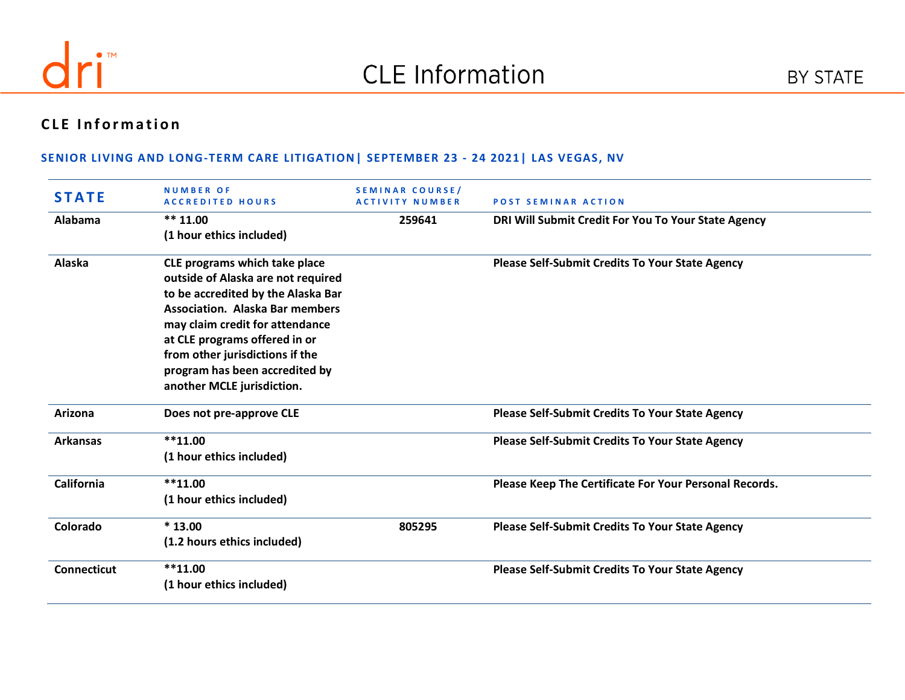

# **CLE Information**

| <b>STATE</b>       | <b>NUMBER OF</b><br><b>ACCREDITED HOURS</b>                                                                                                                                                                                                                                                                                | SEMINAR COURSE/<br><b>ACTIVITY NUMBER</b> | <b>POST SEMINAR ACTION</b>                             |
|--------------------|----------------------------------------------------------------------------------------------------------------------------------------------------------------------------------------------------------------------------------------------------------------------------------------------------------------------------|-------------------------------------------|--------------------------------------------------------|
| Alabama            | $** 11.00$<br>(1 hour ethics included)                                                                                                                                                                                                                                                                                     | 259641                                    | DRI Will Submit Credit For You To Your State Agency    |
| Alaska             | CLE programs which take place<br>outside of Alaska are not required<br>to be accredited by the Alaska Bar<br><b>Association. Alaska Bar members</b><br>may claim credit for attendance<br>at CLE programs offered in or<br>from other jurisdictions if the<br>program has been accredited by<br>another MCLE jurisdiction. |                                           | <b>Please Self-Submit Credits To Your State Agency</b> |
| Arizona            | Does not pre-approve CLE                                                                                                                                                                                                                                                                                                   |                                           | Please Self-Submit Credits To Your State Agency        |
| <b>Arkansas</b>    | $***11.00$<br>(1 hour ethics included)                                                                                                                                                                                                                                                                                     |                                           | <b>Please Self-Submit Credits To Your State Agency</b> |
| <b>California</b>  | $**11.00$<br>(1 hour ethics included)                                                                                                                                                                                                                                                                                      |                                           | Please Keep The Certificate For Your Personal Records. |
| Colorado           | $*13.00$<br>(1.2 hours ethics included)                                                                                                                                                                                                                                                                                    | 805295                                    | <b>Please Self-Submit Credits To Your State Agency</b> |
| <b>Connecticut</b> | $***11.00$<br>(1 hour ethics included)                                                                                                                                                                                                                                                                                     |                                           | <b>Please Self-Submit Credits To Your State Agency</b> |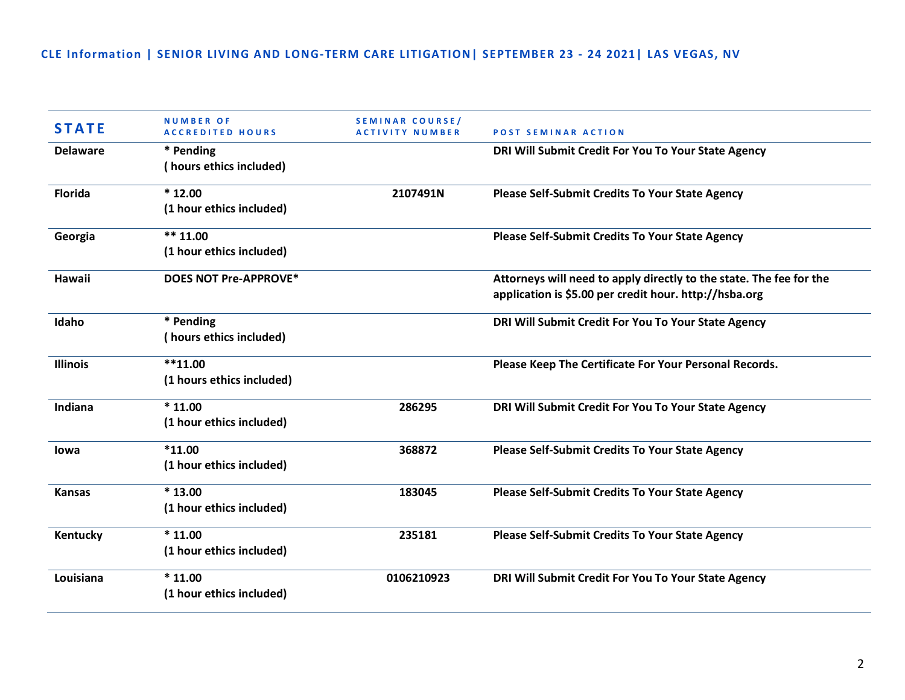| <b>STATE</b>    | <b>NUMBER OF</b><br><b>ACCREDITED HOURS</b> | SEMINAR COURSE/<br><b>ACTIVITY NUMBER</b> | <b>POST SEMINAR ACTION</b>                                                                                                    |
|-----------------|---------------------------------------------|-------------------------------------------|-------------------------------------------------------------------------------------------------------------------------------|
| <b>Delaware</b> | * Pending<br>(hours ethics included)        |                                           | DRI Will Submit Credit For You To Your State Agency                                                                           |
| <b>Florida</b>  | $*12.00$<br>(1 hour ethics included)        | 2107491N                                  | <b>Please Self-Submit Credits To Your State Agency</b>                                                                        |
| Georgia         | $*** 11.00$<br>(1 hour ethics included)     |                                           | Please Self-Submit Credits To Your State Agency                                                                               |
| <b>Hawaii</b>   | <b>DOES NOT Pre-APPROVE*</b>                |                                           | Attorneys will need to apply directly to the state. The fee for the<br>application is \$5.00 per credit hour. http://hsba.org |
| Idaho           | * Pending<br>(hours ethics included)        |                                           | DRI Will Submit Credit For You To Your State Agency                                                                           |
| <b>Illinois</b> | $**11.00$<br>(1 hours ethics included)      |                                           | Please Keep The Certificate For Your Personal Records.                                                                        |
| Indiana         | $*11.00$<br>(1 hour ethics included)        | 286295                                    | DRI Will Submit Credit For You To Your State Agency                                                                           |
| lowa            | $*11.00$<br>(1 hour ethics included)        | 368872                                    | <b>Please Self-Submit Credits To Your State Agency</b>                                                                        |
| <b>Kansas</b>   | $*13.00$<br>(1 hour ethics included)        | 183045                                    | Please Self-Submit Credits To Your State Agency                                                                               |
| Kentucky        | $*11.00$<br>(1 hour ethics included)        | 235181                                    | Please Self-Submit Credits To Your State Agency                                                                               |
| Louisiana       | $*11.00$<br>(1 hour ethics included)        | 0106210923                                | DRI Will Submit Credit For You To Your State Agency                                                                           |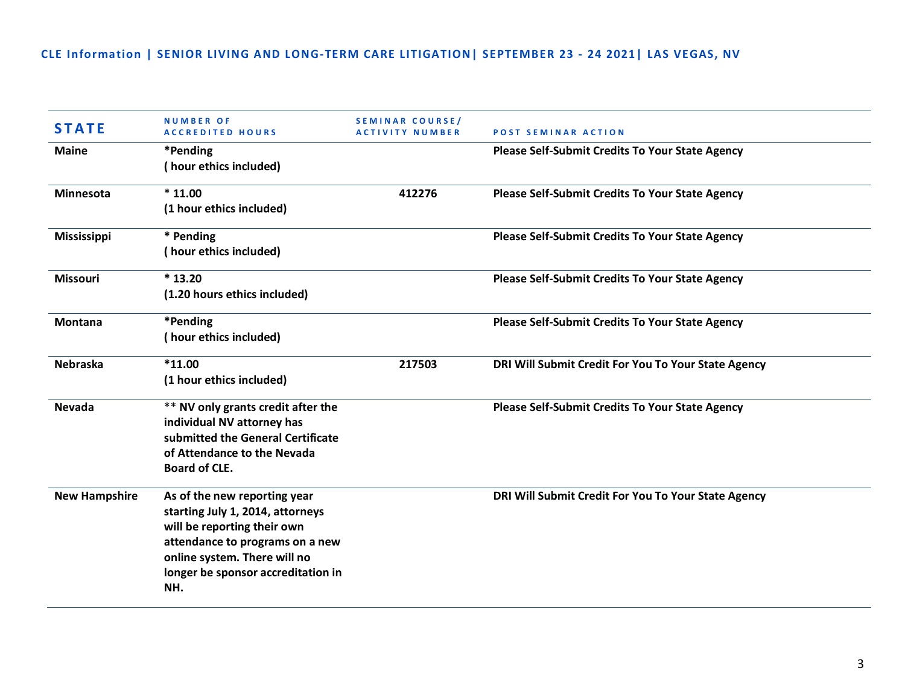| <b>STATE</b>         | <b>NUMBER OF</b><br><b>ACCREDITED HOURS</b>                                                                                                                                                                     | SEMINAR COURSE/<br><b>ACTIVITY NUMBER</b> | <b>POST SEMINAR ACTION</b>                             |
|----------------------|-----------------------------------------------------------------------------------------------------------------------------------------------------------------------------------------------------------------|-------------------------------------------|--------------------------------------------------------|
| <b>Maine</b>         | *Pending<br>(hour ethics included)                                                                                                                                                                              |                                           | <b>Please Self-Submit Credits To Your State Agency</b> |
| <b>Minnesota</b>     | $*11.00$<br>(1 hour ethics included)                                                                                                                                                                            | 412276                                    | <b>Please Self-Submit Credits To Your State Agency</b> |
| <b>Mississippi</b>   | * Pending<br>(hour ethics included)                                                                                                                                                                             |                                           | Please Self-Submit Credits To Your State Agency        |
| <b>Missouri</b>      | $*13.20$<br>(1.20 hours ethics included)                                                                                                                                                                        |                                           | <b>Please Self-Submit Credits To Your State Agency</b> |
| <b>Montana</b>       | *Pending<br>(hour ethics included)                                                                                                                                                                              |                                           | Please Self-Submit Credits To Your State Agency        |
| <b>Nebraska</b>      | $*11.00$<br>(1 hour ethics included)                                                                                                                                                                            | 217503                                    | DRI Will Submit Credit For You To Your State Agency    |
| <b>Nevada</b>        | ** NV only grants credit after the<br>individual NV attorney has<br>submitted the General Certificate<br>of Attendance to the Nevada<br><b>Board of CLE.</b>                                                    |                                           | Please Self-Submit Credits To Your State Agency        |
| <b>New Hampshire</b> | As of the new reporting year<br>starting July 1, 2014, attorneys<br>will be reporting their own<br>attendance to programs on a new<br>online system. There will no<br>longer be sponsor accreditation in<br>NH. |                                           | DRI Will Submit Credit For You To Your State Agency    |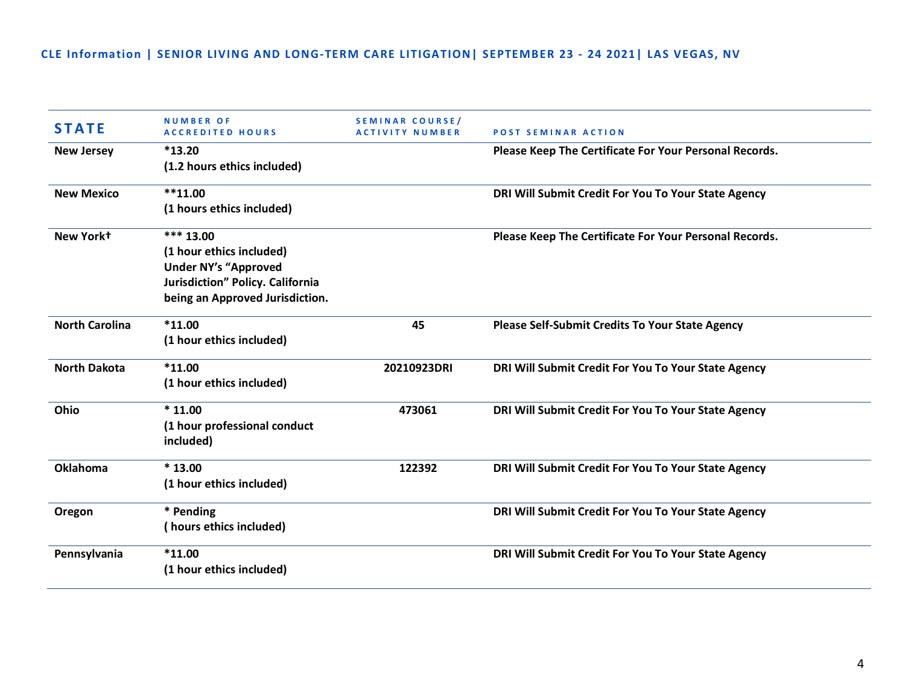| <b>STATE</b>          | <b>NUMBER OF</b><br><b>ACCREDITED HOURS</b> | <b>SEMINAR COURSE/</b><br>ACTIVITY NUMBER | <b>POST SEMINAR ACTION</b>                             |
|-----------------------|---------------------------------------------|-------------------------------------------|--------------------------------------------------------|
| <b>New Jersey</b>     | $*13.20$                                    |                                           | Please Keep The Certificate For Your Personal Records. |
|                       | (1.2 hours ethics included)                 |                                           |                                                        |
| <b>New Mexico</b>     | $**11.00$                                   |                                           | DRI Will Submit Credit For You To Your State Agency    |
|                       | (1 hours ethics included)                   |                                           |                                                        |
| New Yorkt             | *** 13.00                                   |                                           | Please Keep The Certificate For Your Personal Records. |
|                       | (1 hour ethics included)                    |                                           |                                                        |
|                       | <b>Under NY's "Approved</b>                 |                                           |                                                        |
|                       | Jurisdiction" Policy. California            |                                           |                                                        |
|                       | being an Approved Jurisdiction.             |                                           |                                                        |
| <b>North Carolina</b> | $*11.00$                                    | 45                                        | <b>Please Self-Submit Credits To Your State Agency</b> |
|                       | (1 hour ethics included)                    |                                           |                                                        |
| <b>North Dakota</b>   | $*11.00$                                    | 20210923DRI                               | DRI Will Submit Credit For You To Your State Agency    |
|                       | (1 hour ethics included)                    |                                           |                                                        |
| Ohio                  | $*11.00$                                    | 473061                                    | DRI Will Submit Credit For You To Your State Agency    |
|                       | (1 hour professional conduct                |                                           |                                                        |
|                       | included)                                   |                                           |                                                        |
| <b>Oklahoma</b>       | $*13.00$                                    | 122392                                    | DRI Will Submit Credit For You To Your State Agency    |
|                       | (1 hour ethics included)                    |                                           |                                                        |
| Oregon                | * Pending                                   |                                           | DRI Will Submit Credit For You To Your State Agency    |
|                       | (hours ethics included)                     |                                           |                                                        |
| Pennsylvania          | $*11.00$                                    |                                           | DRI Will Submit Credit For You To Your State Agency    |
|                       | (1 hour ethics included)                    |                                           |                                                        |
|                       |                                             |                                           |                                                        |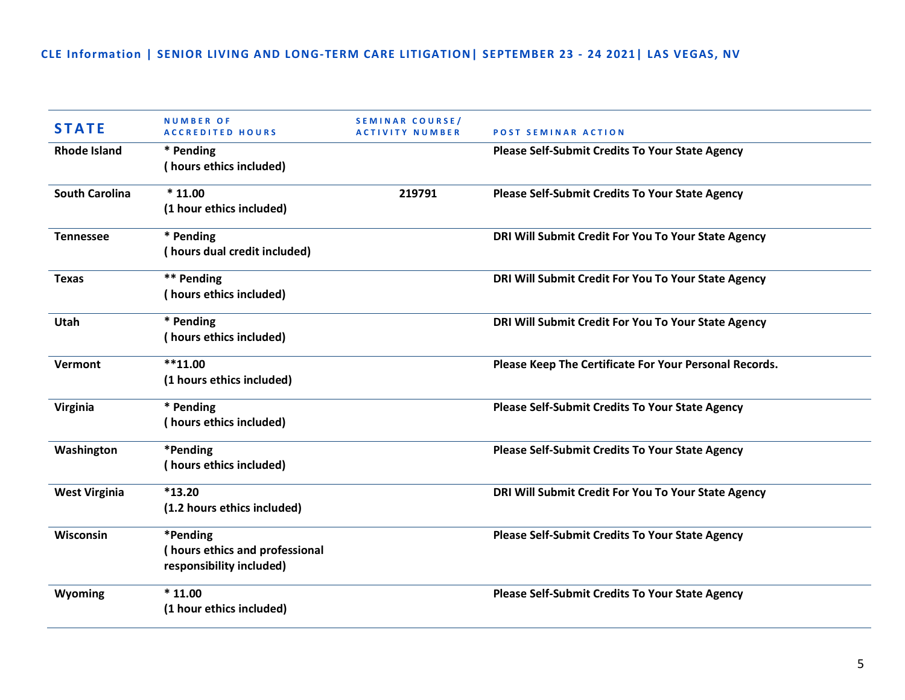| <b>STATE</b>          | <b>NUMBER OF</b><br><b>ACCREDITED HOURS</b>                            | SEMINAR COURSE/<br><b>ACTIVITY NUMBER</b> | <b>POST SEMINAR ACTION</b>                             |
|-----------------------|------------------------------------------------------------------------|-------------------------------------------|--------------------------------------------------------|
| <b>Rhode Island</b>   | * Pending<br>(hours ethics included)                                   |                                           | <b>Please Self-Submit Credits To Your State Agency</b> |
| <b>South Carolina</b> | $*11.00$<br>(1 hour ethics included)                                   | 219791                                    | <b>Please Self-Submit Credits To Your State Agency</b> |
| <b>Tennessee</b>      | * Pending<br>(hours dual credit included)                              |                                           | DRI Will Submit Credit For You To Your State Agency    |
| <b>Texas</b>          | ** Pending<br>(hours ethics included)                                  |                                           | DRI Will Submit Credit For You To Your State Agency    |
| Utah                  | * Pending<br>(hours ethics included)                                   |                                           | DRI Will Submit Credit For You To Your State Agency    |
| Vermont               | $***11.00$<br>(1 hours ethics included)                                |                                           | Please Keep The Certificate For Your Personal Records. |
| Virginia              | * Pending<br>(hours ethics included)                                   |                                           | <b>Please Self-Submit Credits To Your State Agency</b> |
| Washington            | *Pending<br>(hours ethics included)                                    |                                           | Please Self-Submit Credits To Your State Agency        |
| <b>West Virginia</b>  | $*13.20$<br>(1.2 hours ethics included)                                |                                           | DRI Will Submit Credit For You To Your State Agency    |
| Wisconsin             | *Pending<br>(hours ethics and professional<br>responsibility included) |                                           | <b>Please Self-Submit Credits To Your State Agency</b> |
| Wyoming               | $*11.00$<br>(1 hour ethics included)                                   |                                           | Please Self-Submit Credits To Your State Agency        |